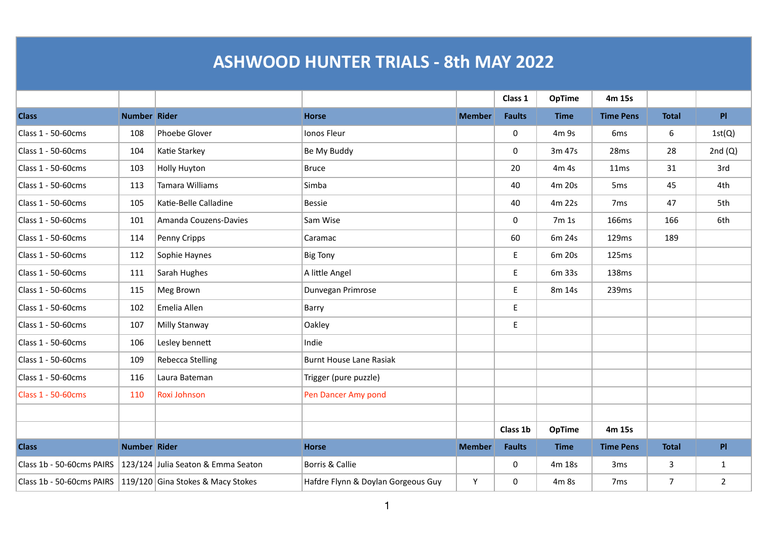## **ASHWOOD HUNTER TRIALS - 8th MAY 2022**

|                           |              |                                    |                                    |               | Class 1                                    | <b>OpTime</b> | 4m 15s           |                |                |
|---------------------------|--------------|------------------------------------|------------------------------------|---------------|--------------------------------------------|---------------|------------------|----------------|----------------|
| <b>Class</b>              | Number Rider |                                    | <b>Horse</b>                       | <b>Member</b> | <b>Faults</b>                              | <b>Time</b>   | <b>Time Pens</b> | <b>Total</b>   | PI             |
| Class 1 - 50-60cms        | 108          | Phoebe Glover                      | Ionos Fleur                        |               | $\mathbf 0$                                | 4m 9s         | 6 <sub>ms</sub>  | 6              | 1st(Q)         |
| Class 1 - 50-60cms        | 104          | Katie Starkey                      | Be My Buddy                        |               | $\mathbf 0$                                | 3m 47s        | 28ms             | 28             | 2nd $(Q)$      |
| Class 1 - 50-60cms        | 103          | <b>Holly Huyton</b>                | <b>Bruce</b>                       |               | 20                                         | 4m 4s         | 11ms             | 31             | 3rd            |
| Class 1 - 50-60cms        | 113          | <b>Tamara Williams</b>             | Simba                              |               | 40                                         | 4m 20s        | 5 <sub>ms</sub>  | 45             | 4th            |
| Class 1 - 50-60cms        | 105          | Katie-Belle Calladine              | <b>Bessie</b>                      |               | 40                                         | 4m 22s        | 7 <sub>ms</sub>  | 47             | 5th            |
| Class 1 - 50-60cms        | 101          | Amanda Couzens-Davies              | Sam Wise                           |               | $\mathbf 0$                                | 7m 1s         | 166ms            | 166            | 6th            |
| Class 1 - 50-60cms        | 114          | Penny Cripps                       | Caramac                            |               | 60                                         | 6m 24s        | 129ms            | 189            |                |
| Class 1 - 50-60cms        | 112          | Sophie Haynes                      | <b>Big Tony</b>                    |               | $\mathsf{E}% _{0}\left( \mathsf{E}\right)$ | 6m 20s        | 125ms            |                |                |
| Class 1 - 50-60cms        | 111          | Sarah Hughes                       | A little Angel                     |               | E                                          | 6m 33s        | 138ms            |                |                |
| Class 1 - 50-60cms        | 115          | Meg Brown                          | Dunvegan Primrose                  |               | E                                          | 8m 14s        | 239ms            |                |                |
| Class 1 - 50-60cms        | 102          | Emelia Allen                       | Barry                              |               | E.                                         |               |                  |                |                |
| Class 1 - 50-60cms        | 107          | Milly Stanway                      | Oakley                             |               | $\mathsf{E}% _{0}\left( \mathsf{E}\right)$ |               |                  |                |                |
| Class 1 - 50-60cms        | 106          | Lesley bennett                     | Indie                              |               |                                            |               |                  |                |                |
| Class 1 - 50-60cms        | 109          | <b>Rebecca Stelling</b>            | <b>Burnt House Lane Rasiak</b>     |               |                                            |               |                  |                |                |
| Class 1 - 50-60cms        | 116          | Laura Bateman                      | Trigger (pure puzzle)              |               |                                            |               |                  |                |                |
| Class 1 - 50-60cms        | 110          | Roxi Johnson                       | Pen Dancer Amy pond                |               |                                            |               |                  |                |                |
|                           |              |                                    |                                    |               |                                            |               |                  |                |                |
|                           |              |                                    |                                    |               | Class 1b                                   | <b>OpTime</b> | 4m 15s           |                |                |
| <b>Class</b>              | Number Rider |                                    | <b>Horse</b>                       | <b>Member</b> | <b>Faults</b>                              | <b>Time</b>   | <b>Time Pens</b> | <b>Total</b>   | PI             |
| Class 1b - 50-60cms PAIRS |              | 123/124 Julia Seaton & Emma Seaton | Borris & Callie                    |               | $\mathbf 0$                                | 4m 18s        | 3 <sub>ms</sub>  | 3              | $\mathbf{1}$   |
| Class 1b - 50-60cms PAIRS |              | 119/120 Gina Stokes & Macy Stokes  | Hafdre Flynn & Doylan Gorgeous Guy | Y             | 0                                          | 4m 8s         | 7 <sub>ms</sub>  | $\overline{7}$ | $\overline{2}$ |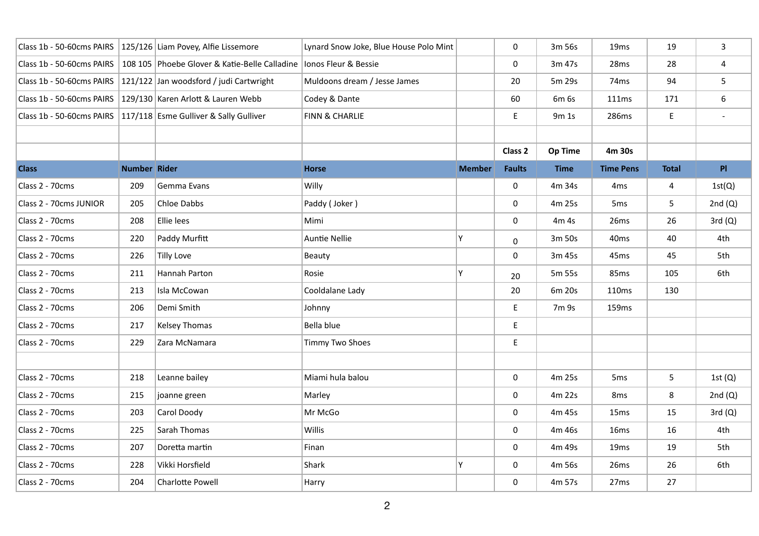| Class 1b - 50-60cms PAIRS |                     | 125/126 Liam Povey, Alfie Lissemore           | Lynard Snow Joke, Blue House Polo Mint |               | 0             | 3m 56s         | 19 <sub>ms</sub> | 19           | 3              |
|---------------------------|---------------------|-----------------------------------------------|----------------------------------------|---------------|---------------|----------------|------------------|--------------|----------------|
| Class 1b - 50-60cms PAIRS |                     | 108 105 Phoebe Glover & Katie-Belle Calladine | Ionos Fleur & Bessie                   |               | 0             | 3m 47s         | 28ms             | 28           | 4              |
| Class 1b - 50-60cms PAIRS |                     | 121/122 Jan woodsford / judi Cartwright       | Muldoons dream / Jesse James           |               | 20            | 5m 29s         | 74 <sub>ms</sub> | 94           | 5              |
| Class 1b - 50-60cms PAIRS |                     | 129/130 Karen Arlott & Lauren Webb            | Codey & Dante                          |               | 60            | 6m 6s          | 111ms            | 171          | 6              |
| Class 1b - 50-60cms PAIRS |                     | 117/118 Esme Gulliver & Sally Gulliver        | FINN & CHARLIE                         |               | E             | 9m 1s          | 286ms            | E.           |                |
|                           |                     |                                               |                                        |               |               |                |                  |              |                |
|                           |                     |                                               |                                        |               | Class 2       | <b>Op Time</b> | 4m 30s           |              |                |
| <b>Class</b>              | <b>Number Rider</b> |                                               | <b>Horse</b>                           | <b>Member</b> | <b>Faults</b> | <b>Time</b>    | <b>Time Pens</b> | <b>Total</b> | P <sub>1</sub> |
| Class 2 - 70cms           | 209                 | Gemma Evans                                   | Willy                                  |               | 0             | 4m 34s         | 4 <sub>ms</sub>  | 4            | 1st(Q)         |
| Class 2 - 70cms JUNIOR    | 205                 | Chloe Dabbs                                   | Paddy (Joker)                          |               | 0             | 4m 25s         | 5 <sub>ms</sub>  | 5            | 2nd $(Q)$      |
| Class 2 - 70cms           | 208                 | Ellie lees                                    | Mimi                                   |               | 0             | 4m 4s          | 26 <sub>ms</sub> | 26           | 3rd(Q)         |
| Class 2 - 70cms           | 220                 | Paddy Murfitt                                 | <b>Auntie Nellie</b>                   | Υ             | 0             | 3m 50s         | 40 <sub>ms</sub> | 40           | 4th            |
| Class 2 - 70cms           | 226                 | <b>Tilly Love</b>                             | Beauty                                 |               | 0             | 3m 45s         | 45 <sub>ms</sub> | 45           | 5th            |
| Class 2 - 70cms           | 211                 | Hannah Parton                                 | Rosie                                  | Υ             | 20            | 5m 55s         | 85 <sub>ms</sub> | 105          | 6th            |
| Class 2 - 70cms           | 213                 | Isla McCowan                                  | Cooldalane Lady                        |               | 20            | 6m 20s         | 110ms            | 130          |                |
| Class 2 - 70cms           | 206                 | Demi Smith                                    | Johnny                                 |               | E             | 7m 9s          | 159ms            |              |                |
| Class 2 - 70cms           | 217                 | <b>Kelsey Thomas</b>                          | Bella blue                             |               | E             |                |                  |              |                |
| Class 2 - 70cms           | 229                 | Zara McNamara                                 | <b>Timmy Two Shoes</b>                 |               | E             |                |                  |              |                |
|                           |                     |                                               |                                        |               |               |                |                  |              |                |
| Class 2 - 70cms           | 218                 | Leanne bailey                                 | Miami hula balou                       |               | 0             | 4m 25s         | 5 <sub>ms</sub>  | 5            | 1st $(Q)$      |
| Class 2 - 70cms           | 215                 | joanne green                                  | Marley                                 |               | 0             | 4m 22s         | 8 <sub>ms</sub>  | 8            | 2nd $(Q)$      |
| Class 2 - 70cms           | 203                 | Carol Doody                                   | Mr McGo                                |               | 0             | 4m 45s         | 15 <sub>ms</sub> | 15           | 3rd(Q)         |
| Class 2 - 70cms           | 225                 | Sarah Thomas                                  | Willis                                 |               | 0             | 4m 46s         | 16ms             | 16           | 4th            |
| Class 2 - 70cms           | 207                 | Doretta martin                                | Finan                                  |               | 0             | 4m 49s         | 19 <sub>ms</sub> | 19           | 5th            |
| Class 2 - 70cms           | 228                 | Vikki Horsfield                               | Shark                                  | Y             | $\mathbf 0$   | 4m 56s         | 26ms             | 26           | 6th            |
| Class 2 - 70cms           | 204                 | Charlotte Powell                              | Harry                                  |               | 0             | 4m 57s         | 27 <sub>ms</sub> | 27           |                |
|                           |                     |                                               |                                        |               |               |                |                  |              |                |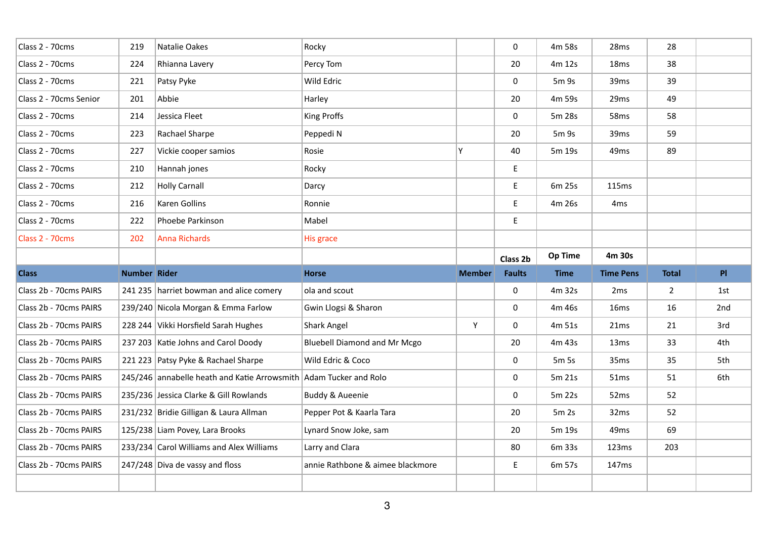| Class 2 - 70cms        | 219                 | Natalie Oakes                                                     | Rocky                               |               | 0             | 4m 58s      | 28ms             | 28             |     |
|------------------------|---------------------|-------------------------------------------------------------------|-------------------------------------|---------------|---------------|-------------|------------------|----------------|-----|
| Class 2 - 70cms        | 224                 | Rhianna Lavery                                                    | Percy Tom                           |               | 20            | 4m 12s      | 18 <sub>ms</sub> | 38             |     |
| Class 2 - 70cms        | 221                 | Patsy Pyke                                                        | Wild Edric                          |               | 0             | 5m 9s       | 39ms             | 39             |     |
| Class 2 - 70cms Senior | 201                 | Abbie                                                             | Harley                              |               | 20            | 4m 59s      | 29ms             | 49             |     |
| Class 2 - 70cms        | 214                 | Jessica Fleet                                                     | King Proffs                         |               | 0             | 5m 28s      | 58 <sub>ms</sub> | 58             |     |
| Class 2 - 70cms        | 223                 | Rachael Sharpe                                                    | Peppedi N                           |               | 20            | 5m 9s       | 39ms             | 59             |     |
| Class 2 - 70cms        | 227                 | Vickie cooper samios                                              | Rosie                               | Y             | 40            | 5m 19s      | 49 <sub>ms</sub> | 89             |     |
| Class 2 - 70cms        | 210                 | Hannah jones                                                      | Rocky                               |               | E             |             |                  |                |     |
| Class 2 - 70cms        | 212                 | <b>Holly Carnall</b>                                              | Darcy                               |               | E             | 6m 25s      | 115ms            |                |     |
| Class 2 - 70cms        | 216                 | Karen Gollins                                                     | Ronnie                              |               | E             | 4m 26s      | 4 <sub>ms</sub>  |                |     |
| Class 2 - 70cms        | 222                 | Phoebe Parkinson                                                  | Mabel                               |               | E             |             |                  |                |     |
| Class 2 - 70cms        | 202                 | <b>Anna Richards</b>                                              | His grace                           |               |               |             |                  |                |     |
|                        |                     |                                                                   |                                     |               | Class 2b      | Op Time     | 4m 30s           |                |     |
|                        |                     |                                                                   |                                     |               |               |             |                  |                |     |
| <b>Class</b>           | <b>Number Rider</b> |                                                                   | <b>Horse</b>                        | <b>Member</b> | <b>Faults</b> | <b>Time</b> | <b>Time Pens</b> | <b>Total</b>   | PI  |
| Class 2b - 70cms PAIRS |                     | 241 235 harriet bowman and alice comery                           | ola and scout                       |               | 0             | 4m 32s      | 2 <sub>ms</sub>  | $\overline{2}$ | 1st |
| Class 2b - 70cms PAIRS |                     | 239/240 Nicola Morgan & Emma Farlow                               | Gwin Llogsi & Sharon                |               | 0             | 4m 46s      | 16ms             | 16             | 2nd |
| Class 2b - 70cms PAIRS |                     | 228 244 Vikki Horsfield Sarah Hughes                              | Shark Angel                         | Υ             | 0             | 4m 51s      | 21ms             | 21             | 3rd |
| Class 2b - 70cms PAIRS |                     | 237 203 Katie Johns and Carol Doody                               | <b>Bluebell Diamond and Mr Mcgo</b> |               | 20            | 4m 43s      | 13 <sub>ms</sub> | 33             | 4th |
| Class 2b - 70cms PAIRS |                     | 221 223 Patsy Pyke & Rachael Sharpe                               | Wild Edric & Coco                   |               | 0             | 5m 5s       | 35ms             | 35             | 5th |
| Class 2b - 70cms PAIRS |                     | 245/246 annabelle heath and Katie Arrowsmith Adam Tucker and Rolo |                                     |               | $\mathbf 0$   | 5m 21s      | 51ms             | 51             | 6th |
| Class 2b - 70cms PAIRS |                     | 235/236 Jessica Clarke & Gill Rowlands                            | <b>Buddy &amp; Aueenie</b>          |               | 0             | 5m 22s      | 52 <sub>ms</sub> | 52             |     |
| Class 2b - 70cms PAIRS |                     | 231/232 Bridie Gilligan & Laura Allman                            | Pepper Pot & Kaarla Tara            |               | 20            | $5m$ 2s     | 32ms             | 52             |     |
| Class 2b - 70cms PAIRS |                     | 125/238 Liam Povey, Lara Brooks                                   | Lynard Snow Joke, sam               |               | 20            | 5m 19s      | 49 <sub>ms</sub> | 69             |     |
| Class 2b - 70cms PAIRS |                     | 233/234 Carol Williams and Alex Williams                          | Larry and Clara                     |               | 80            | 6m 33s      | 123ms            | 203            |     |
| Class 2b - 70cms PAIRS |                     | $247/248$ Diva de vassy and floss                                 | annie Rathbone & aimee blackmore    |               | E             | 6m 57s      | 147ms            |                |     |
|                        |                     |                                                                   |                                     |               |               |             |                  |                |     |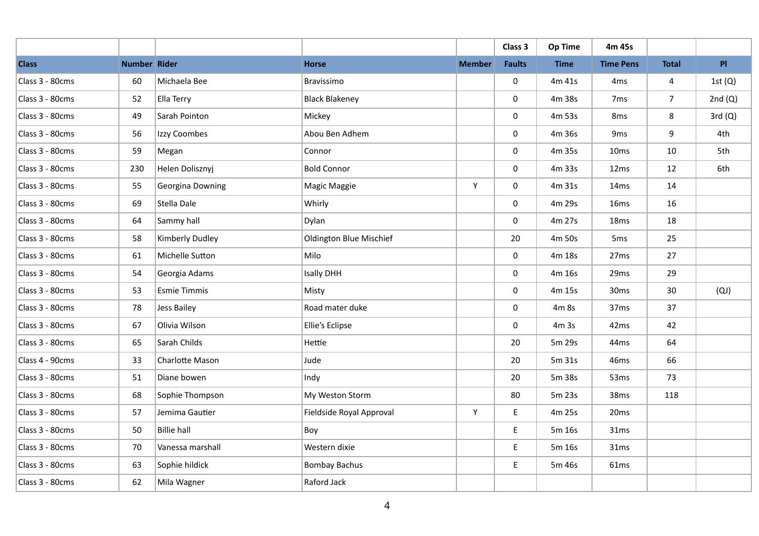|                 |              |                     |                                |               | Class 3       | Op Time          | 4m 45s           |              |                |
|-----------------|--------------|---------------------|--------------------------------|---------------|---------------|------------------|------------------|--------------|----------------|
| <b>Class</b>    | Number Rider |                     | <b>Horse</b>                   | <b>Member</b> | <b>Faults</b> | <b>Time</b>      | <b>Time Pens</b> | <b>Total</b> | P <sub>1</sub> |
| Class 3 - 80cms | 60           | Michaela Bee        | Bravissimo                     |               | $\mathbf 0$   | 4m 41s           | 4 <sub>ms</sub>  | 4            | 1st $(Q)$      |
| Class 3 - 80cms | 52           | Ella Terry          | <b>Black Blakeney</b>          |               | 0             | 4m 38s           | 7 <sub>ms</sub>  | 7            | 2nd $(Q)$      |
| Class 3 - 80cms | 49           | Sarah Pointon       | Mickey                         |               | 0             | 4m 53s           | 8 <sub>ms</sub>  | 8            | 3rd(Q)         |
| Class 3 - 80cms | 56           | Izzy Coombes        | Abou Ben Adhem                 |               | 0             | 4m 36s           | 9 <sub>ms</sub>  | 9            | 4th            |
| Class 3 - 80cms | 59           | Megan               | Connor                         |               | 0             | 4m 35s           | 10 <sub>ms</sub> | 10           | 5th            |
| Class 3 - 80cms | 230          | Helen Dolisznyj     | <b>Bold Connor</b>             |               | 0             | 4m 33s           | 12ms             | 12           | 6th            |
| Class 3 - 80cms | 55           | Georgina Downing    | Magic Maggie                   | Y             | 0             | 4m 31s           | 14ms             | 14           |                |
| Class 3 - 80cms | 69           | Stella Dale         | Whirly                         |               | 0             | 4m 29s           | 16ms             | 16           |                |
| Class 3 - 80cms | 64           | Sammy hall          | Dylan                          |               | 0             | 4m 27s           | 18 <sub>ms</sub> | 18           |                |
| Class 3 - 80cms | 58           | Kimberly Dudley     | <b>Oldington Blue Mischief</b> |               | 20            | 4m 50s           | 5 <sub>ms</sub>  | 25           |                |
| Class 3 - 80cms | 61           | Michelle Sutton     | Milo                           |               | 0             | 4m 18s           | 27 <sub>ms</sub> | 27           |                |
| Class 3 - 80cms | 54           | Georgia Adams       | <b>Isally DHH</b>              |               | 0             | 4m 16s           | 29 <sub>ms</sub> | 29           |                |
| Class 3 - 80cms | 53           | <b>Esmie Timmis</b> | Misty                          |               | 0             | 4m 15s           | 30 <sub>ms</sub> | 30           | (QJ)           |
| Class 3 - 80cms | 78           | Jess Bailey         | Road mater duke                |               | 0             | 4m 8s            | 37 <sub>ms</sub> | 37           |                |
| Class 3 - 80cms | 67           | Olivia Wilson       | Ellie's Eclipse                |               | 0             | 4m <sub>3s</sub> | 42ms             | 42           |                |
| Class 3 - 80cms | 65           | Sarah Childs        | Hettie                         |               | 20            | 5m 29s           | 44 <sub>ms</sub> | 64           |                |
| Class 4 - 90cms | 33           | Charlotte Mason     | Jude                           |               | 20            | 5m 31s           | 46 <sub>ms</sub> | 66           |                |
| Class 3 - 80cms | 51           | Diane bowen         | Indy                           |               | 20            | 5m 38s           | 53 <sub>ms</sub> | 73           |                |
| Class 3 - 80cms | 68           | Sophie Thompson     | My Weston Storm                |               | 80            | 5m 23s           | 38 <sub>ms</sub> | 118          |                |
| Class 3 - 80cms | 57           | Jemima Gautier      | Fieldside Royal Approval       | Y             | E             | 4m 25s           | 20 <sub>ms</sub> |              |                |
| Class 3 - 80cms | 50           | <b>Billie hall</b>  | Boy                            |               | E             | 5m 16s           | 31ms             |              |                |
| Class 3 - 80cms | 70           | Vanessa marshall    | Western dixie                  |               | E             | 5m 16s           | 31ms             |              |                |
| Class 3 - 80cms | 63           | Sophie hildick      | <b>Bombay Bachus</b>           |               | E             | 5m 46s           | 61 <sub>ms</sub> |              |                |
| Class 3 - 80cms | 62           | Mila Wagner         | Raford Jack                    |               |               |                  |                  |              |                |